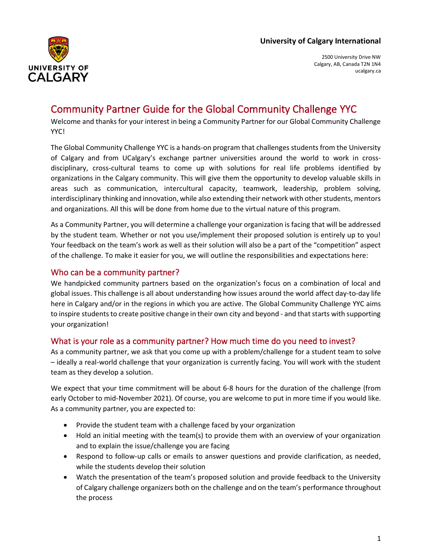

2500 University Drive NW Calgary, AB, Canada T2N 1N4 ucalgary.ca

# Community Partner Guide for the Global Community Challenge YYC

Welcome and thanks for your interest in being a Community Partner for our Global Community Challenge YYC!

The Global Community Challenge YYC is a hands-on program that challenges students from the University of Calgary and from UCalgary's exchange partner universities around the world to work in crossdisciplinary, cross-cultural teams to come up with solutions for real life problems identified by organizations in the Calgary community. This will give them the opportunity to develop valuable skills in areas such as communication, intercultural capacity, teamwork, leadership, problem solving, interdisciplinary thinking and innovation, while also extending their network with other students, mentors and organizations. All this will be done from home due to the virtual nature of this program.

As a Community Partner, you will determine a challenge your organization is facing that will be addressed by the student team. Whether or not you use/implement their proposed solution is entirely up to you! Your feedback on the team's work as well as their solution will also be a part of the "competition" aspect of the challenge. To make it easier for you, we will outline the responsibilities and expectations here:

# Who can be a community partner?

We handpicked community partners based on the organization's focus on a combination of local and global issues. This challenge is all about understanding how issues around the world affect day-to-day life here in Calgary and/or in the regions in which you are active. The Global Community Challenge YYC aims to inspire students to create positive change in their own city and beyond - and that starts with supporting your organization!

## What is your role as a community partner? How much time do you need to invest?

As a community partner, we ask that you come up with a problem/challenge for a student team to solve – ideally a real-world challenge that your organization is currently facing. You will work with the student team as they develop a solution.

We expect that your time commitment will be about 6-8 hours for the duration of the challenge (from early October to mid-November 2021). Of course, you are welcome to put in more time if you would like. As a community partner, you are expected to:

- Provide the student team with a challenge faced by your organization
- Hold an initial meeting with the team(s) to provide them with an overview of your organization and to explain the issue/challenge you are facing
- Respond to follow-up calls or emails to answer questions and provide clarification, as needed, while the students develop their solution
- Watch the presentation of the team's proposed solution and provide feedback to the University of Calgary challenge organizers both on the challenge and on the team's performance throughout the process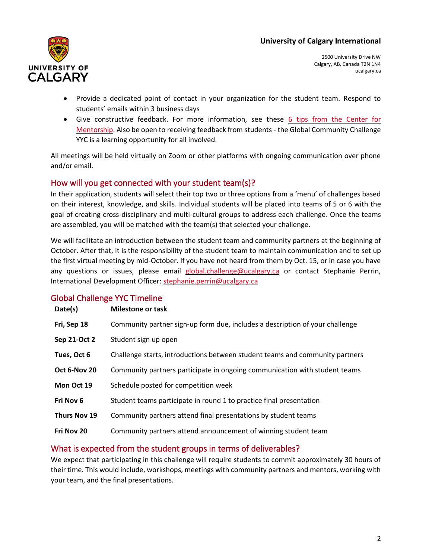

2500 University Drive NW Calgary, AB, Canada T2N 1N4 ucalgary.ca

- Provide a dedicated point of contact in your organization for the student team. Respond to students' emails within 3 business days
- Give constructive feedback. For more information, see these 6 tips from the Center for [Mentorship.](https://www.centerformentoring.com/your-mentoring-year-tip-8-giving-feedback) Also be open to receiving feedback from students - the Global Community Challenge YYC is a learning opportunity for all involved.

All meetings will be held virtually on Zoom or other platforms with ongoing communication over phone and/or email.

# How will you get connected with your student team(s)?

In their application, students will select their top two or three options from a 'menu' of challenges based on their interest, knowledge, and skills. Individual students will be placed into teams of 5 or 6 with the goal of creating cross-disciplinary and multi-cultural groups to address each challenge. Once the teams are assembled, you will be matched with the team(s) that selected your challenge.

We will facilitate an introduction between the student team and community partners at the beginning of October. After that, it is the responsibility of the student team to maintain communication and to set up the first virtual meeting by mid-October. If you have not heard from them by Oct. 15, or in case you have any questions or issues, please email [global.challenge@ucalgary.ca](mailto:global.challenge@ucalgary.ca) or contact Stephanie Perrin, International Development Officer: [stephanie.perrin@ucalgary.ca](mailto:stephanie.perrin@ucalgary.ca)

## Global Challenge YYC Timeline

| Date(s)      | Milestone or task                                                            |
|--------------|------------------------------------------------------------------------------|
| Fri, Sep 18  | Community partner sign-up form due, includes a description of your challenge |
| Sep 21-Oct 2 | Student sign up open                                                         |
| Tues, Oct 6  | Challenge starts, introductions between student teams and community partners |
| Oct 6-Nov 20 | Community partners participate in ongoing communication with student teams   |
| Mon Oct 19   | Schedule posted for competition week                                         |
| Fri Nov 6    | Student teams participate in round 1 to practice final presentation          |
| Thurs Nov 19 | Community partners attend final presentations by student teams               |
| Fri Nov 20   | Community partners attend announcement of winning student team               |

# What is expected from the student groups in terms of deliverables?

We expect that participating in this challenge will require students to commit approximately 30 hours of their time. This would include, workshops, meetings with community partners and mentors, working with your team, and the final presentations.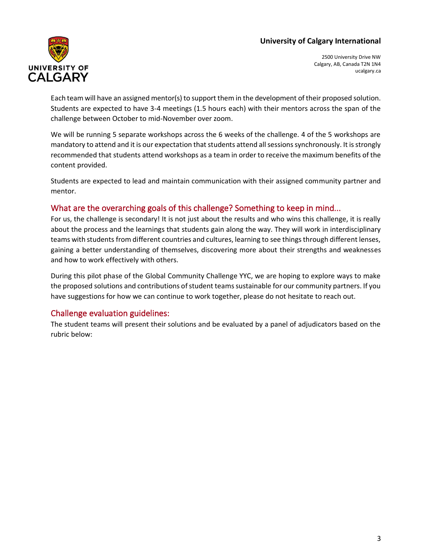

2500 University Drive NW Calgary, AB, Canada T2N 1N4 ucalgary.ca

Each team will have an assigned mentor(s) to support them in the development of their proposed solution. Students are expected to have 3-4 meetings (1.5 hours each) with their mentors across the span of the challenge between October to mid-November over zoom.

We will be running 5 separate workshops across the 6 weeks of the challenge. 4 of the 5 workshops are mandatory to attend and it is our expectation that students attend all sessions synchronously. It is strongly recommended that students attend workshops as a team in order to receive the maximum benefits of the content provided.

Students are expected to lead and maintain communication with their assigned community partner and mentor.

# What are the overarching goals of this challenge? Something to keep in mind...

For us, the challenge is secondary! It is not just about the results and who wins this challenge, it is really about the process and the learnings that students gain along the way. They will work in interdisciplinary teams with students from different countries and cultures, learning to see things through different lenses, gaining a better understanding of themselves, discovering more about their strengths and weaknesses and how to work effectively with others.

During this pilot phase of the Global Community Challenge YYC, we are hoping to explore ways to make the proposed solutions and contributions of student teams sustainable for our community partners. If you have suggestions for how we can continue to work together, please do not hesitate to reach out.

# Challenge evaluation guidelines:

The student teams will present their solutions and be evaluated by a panel of adjudicators based on the rubric below: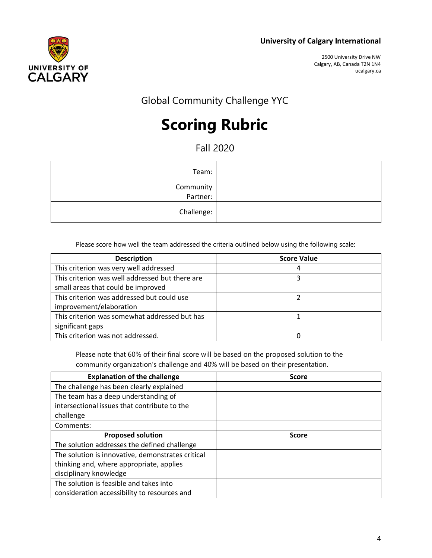

2500 University Drive NW Calgary, AB, Canada T2N 1N4 ucalgary.ca

Global Community Challenge YYC

# **Scoring Rubric**

Fall 2020

| Team:                 |
|-----------------------|
| Community<br>:Partner |
| Challenge:            |
|                       |

Please score how well the team addressed the criteria outlined below using the following scale:

| <b>Description</b>                              | <b>Score Value</b> |
|-------------------------------------------------|--------------------|
| This criterion was very well addressed          |                    |
| This criterion was well addressed but there are |                    |
| small areas that could be improved              |                    |
| This criterion was addressed but could use      |                    |
| improvement/elaboration                         |                    |
| This criterion was somewhat addressed but has   |                    |
| significant gaps                                |                    |
| This criterion was not addressed.               |                    |

Please note that 60% of their final score will be based on the proposed solution to the community organization's challenge and 40% will be based on their presentation.

| <b>Explanation of the challenge</b>               | <b>Score</b> |
|---------------------------------------------------|--------------|
| The challenge has been clearly explained          |              |
| The team has a deep understanding of              |              |
| intersectional issues that contribute to the      |              |
| challenge                                         |              |
| Comments:                                         |              |
| <b>Proposed solution</b>                          | <b>Score</b> |
| The solution addresses the defined challenge      |              |
| The solution is innovative, demonstrates critical |              |
| thinking and, where appropriate, applies          |              |
| disciplinary knowledge                            |              |
| The solution is feasible and takes into           |              |
| consideration accessibility to resources and      |              |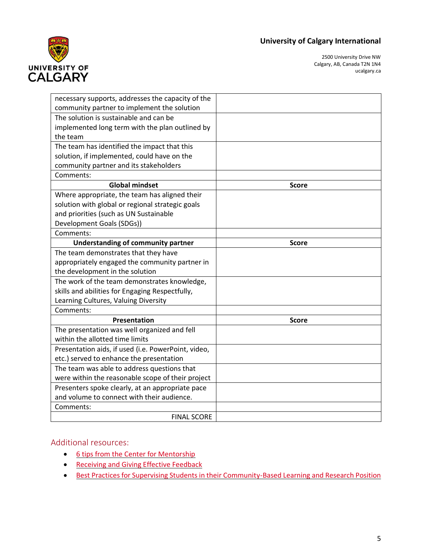

2500 University Drive NW Calgary, AB, Canada T2N 1N4 ucalgary.ca

| necessary supports, addresses the capacity of the   |              |
|-----------------------------------------------------|--------------|
| community partner to implement the solution         |              |
| The solution is sustainable and can be              |              |
| implemented long term with the plan outlined by     |              |
| the team                                            |              |
| The team has identified the impact that this        |              |
| solution, if implemented, could have on the         |              |
| community partner and its stakeholders              |              |
| Comments:                                           |              |
| <b>Global mindset</b>                               | <b>Score</b> |
| Where appropriate, the team has aligned their       |              |
| solution with global or regional strategic goals    |              |
| and priorities (such as UN Sustainable              |              |
| Development Goals (SDGs))                           |              |
| Comments:                                           |              |
| Understanding of community partner                  | <b>Score</b> |
| The team demonstrates that they have                |              |
| appropriately engaged the community partner in      |              |
| the development in the solution                     |              |
| The work of the team demonstrates knowledge,        |              |
| skills and abilities for Engaging Respectfully,     |              |
| Learning Cultures, Valuing Diversity                |              |
| Comments:                                           |              |
| Presentation                                        | Score        |
| The presentation was well organized and fell        |              |
| within the allotted time limits                     |              |
| Presentation aids, if used (i.e. PowerPoint, video, |              |
| etc.) served to enhance the presentation            |              |
| The team was able to address questions that         |              |
| were within the reasonable scope of their project   |              |
| Presenters spoke clearly, at an appropriate pace    |              |
| and volume to connect with their audience.          |              |
| Comments:                                           |              |
| <b>FINAL SCORE</b>                                  |              |

## Additional resources:

- [6 tips from the Center for Mentorship](https://www.centerformentoring.com/your-mentoring-year-tip-8-giving-feedback)
- [Receiving and Giving Effective Feedback](https://uwaterloo.ca/centre-for-teaching-excellence/teaching-resources/teaching-tips/assessing-student-work/grading-and-feedback/receiving-and-giving-effective-feedback)
- [Best Practices for Supervising Students in their Community-Based Learning and Research Position](https://www.uwb.edu/cblr/partner-resources/supervising-students)